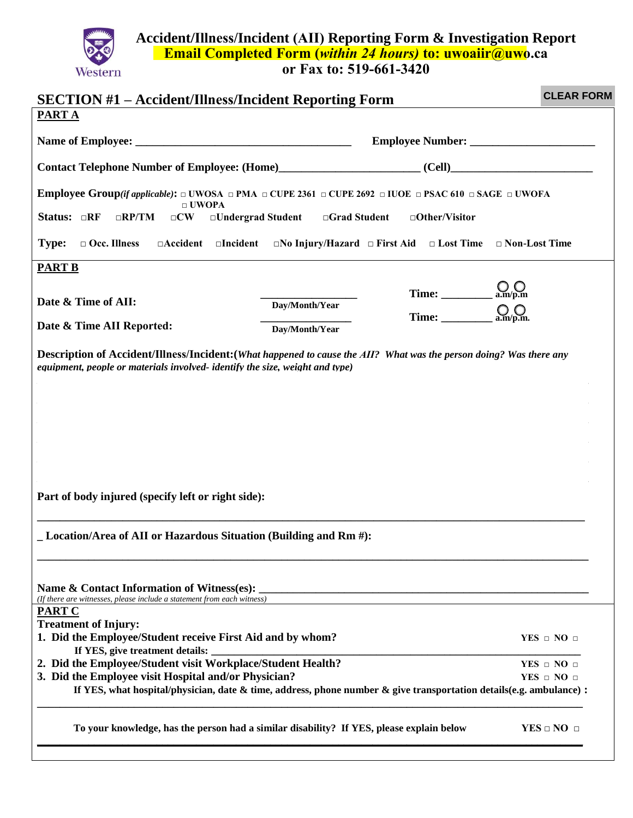**Accident/Illness/Incident (AII) Reporting Form & Investigation Report Email Completed Form (***within 24 hours)* **to: uwoaiir@uwo.ca**

**or Fax to: 519-661-3420**

Western

| <b>CLEAR FORM</b><br><b>SECTION #1 – Accident/Illness/Incident Reporting Form</b>                                                                                                                      |                                                                                                                       |                                                         |                          |  |  |  |  |  |
|--------------------------------------------------------------------------------------------------------------------------------------------------------------------------------------------------------|-----------------------------------------------------------------------------------------------------------------------|---------------------------------------------------------|--------------------------|--|--|--|--|--|
| <b>PARTA</b>                                                                                                                                                                                           |                                                                                                                       |                                                         |                          |  |  |  |  |  |
|                                                                                                                                                                                                        |                                                                                                                       |                                                         |                          |  |  |  |  |  |
|                                                                                                                                                                                                        |                                                                                                                       |                                                         |                          |  |  |  |  |  |
| <b>Employee Group</b> (if applicable): $\Box$ UWOSA $\Box$ PMA $\Box$ CUPE 2361 $\Box$ CUPE 2692 $\Box$ IUOE $\Box$ PSAC 610 $\Box$ SAGE $\Box$ UWOFA<br>$\Box$ UWOPA                                  |                                                                                                                       |                                                         |                          |  |  |  |  |  |
| Status: $\Box$ RF<br>$\Box$ Undergrad Student<br>$\Box$ RP/TM<br>$\Box$ CW                                                                                                                             | $\Box$ Grad Student                                                                                                   | $\Box$ Other/Visitor                                    |                          |  |  |  |  |  |
| $\Box$ Occ. Illness<br><b>Type:</b>                                                                                                                                                                    | $\Box$ Accident $\Box$ Incident $\Box$ No Injury/Hazard $\Box$ First Aid $\Box$ Lost Time $\Box$ Non-Lost Time        |                                                         |                          |  |  |  |  |  |
| <b>PART B</b>                                                                                                                                                                                          |                                                                                                                       |                                                         |                          |  |  |  |  |  |
|                                                                                                                                                                                                        |                                                                                                                       |                                                         |                          |  |  |  |  |  |
| Date & Time of AII:                                                                                                                                                                                    | Day/Month/Year                                                                                                        | Time: $\underline{\bigcup_{a.m/p.m}}$                   |                          |  |  |  |  |  |
|                                                                                                                                                                                                        |                                                                                                                       | Time: $\underset{\sim}{\underbrace{\bigcirc}}$ a.m/p.m. |                          |  |  |  |  |  |
| Date & Time AII Reported:                                                                                                                                                                              | Day/Month/Year                                                                                                        |                                                         |                          |  |  |  |  |  |
| equipment, people or materials involved-identify the size, weight and type)<br>Part of body injured (specify left or right side):<br>_Location/Area of AII or Hazardous Situation (Building and Rm #): |                                                                                                                       |                                                         |                          |  |  |  |  |  |
| Name & Contact Information of Witness(es):<br>(If there are witnesses, please include a statement from each witness)                                                                                   | <u> 1989 - Johann Stoff, deutscher Stoff, der Stoff, der Stoff, der Stoff, der Stoff, der Stoff, der Stoff, der S</u> |                                                         |                          |  |  |  |  |  |
| <b>PART C</b>                                                                                                                                                                                          |                                                                                                                       |                                                         |                          |  |  |  |  |  |
| <b>Treatment of Injury:</b><br>1. Did the Employee/Student receive First Aid and by whom?                                                                                                              |                                                                                                                       |                                                         | $YES \square NO \square$ |  |  |  |  |  |
| If YES, give treatment details:                                                                                                                                                                        |                                                                                                                       |                                                         |                          |  |  |  |  |  |
| 2. Did the Employee/Student visit Workplace/Student Health?                                                                                                                                            |                                                                                                                       |                                                         | $YES \square NO \square$ |  |  |  |  |  |
| 3. Did the Employee visit Hospital and/or Physician?                                                                                                                                                   |                                                                                                                       |                                                         | $YES \square NO \square$ |  |  |  |  |  |
| If YES, what hospital/physician, date $\&$ time, address, phone number $\&$ give transportation details(e.g. ambulance) :                                                                              |                                                                                                                       |                                                         |                          |  |  |  |  |  |
| To your knowledge, has the person had a similar disability? If YES, please explain below                                                                                                               |                                                                                                                       |                                                         | $YES \square NO \square$ |  |  |  |  |  |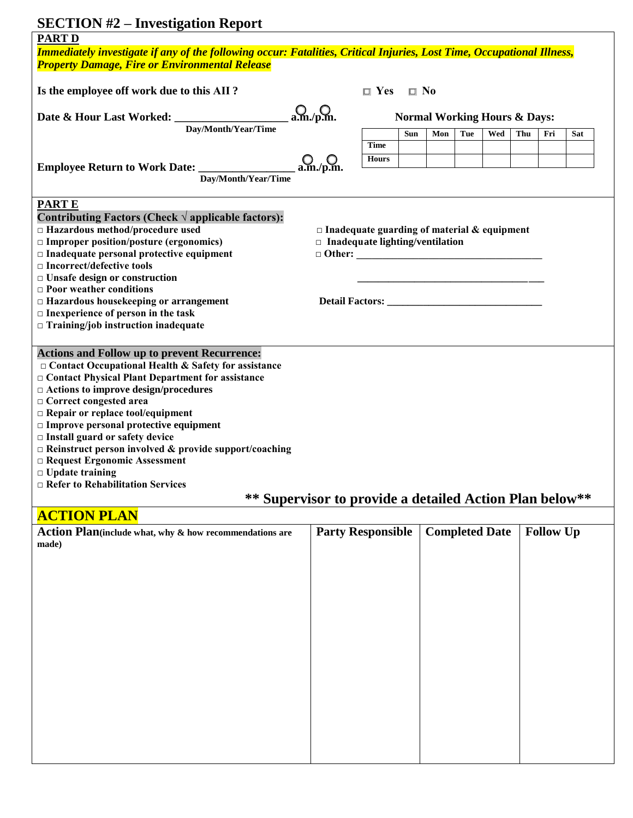# **SECTION #2 – Investigation Report**

| $\mathbf{D}\mathbf{E}\mathbf{C}\mathbf{H}\mathbf{D}\mathbf{D}\mathbf{N}$ $\mathbf{m}\mathbf{Z}$ = $\mathbf{H}\mathbf{N}\mathbf{C}\mathbf{S}\mathbf{H}\mathbf{Z}\mathbf{G}\mathbf{H}\mathbf{O}\mathbf{H}$ in $\mathbf{D}\mathbf{C}\mathbf{D}\mathbf{D}\mathbf{D}$<br><b>PART D</b> |                                                         |                                         |              |     |     |                       |     |                  |     |
|-----------------------------------------------------------------------------------------------------------------------------------------------------------------------------------------------------------------------------------------------------------------------------------|---------------------------------------------------------|-----------------------------------------|--------------|-----|-----|-----------------------|-----|------------------|-----|
| Immediately investigate if any of the following occur: Fatalities, Critical Injuries, Lost Time, Occupational Illness,                                                                                                                                                            |                                                         |                                         |              |     |     |                       |     |                  |     |
| <b>Property Damage, Fire or Environmental Release</b>                                                                                                                                                                                                                             |                                                         |                                         |              |     |     |                       |     |                  |     |
| Is the employee off work due to this AII?                                                                                                                                                                                                                                         |                                                         | $\Box$ Yes                              | $\square$ No |     |     |                       |     |                  |     |
|                                                                                                                                                                                                                                                                                   |                                                         |                                         |              |     |     |                       |     |                  |     |
|                                                                                                                                                                                                                                                                                   | $Q_{\rm a.m./p.m.}$                                     | <b>Normal Working Hours &amp; Days:</b> |              |     |     |                       |     |                  |     |
| Day/Month/Year/Time                                                                                                                                                                                                                                                               |                                                         |                                         | <b>Sun</b>   | Mon | Tue | Wed                   | Thu | Fri              | Sat |
|                                                                                                                                                                                                                                                                                   |                                                         | <b>Time</b>                             |              |     |     |                       |     |                  |     |
|                                                                                                                                                                                                                                                                                   | $Q_{\rm a.m./p.m.}$                                     | <b>Hours</b>                            |              |     |     |                       |     |                  |     |
| Day/Month/Year/Time                                                                                                                                                                                                                                                               |                                                         |                                         |              |     |     |                       |     |                  |     |
|                                                                                                                                                                                                                                                                                   |                                                         |                                         |              |     |     |                       |     |                  |     |
| <b>PARTE</b><br>Contributing Factors (Check $\sqrt{ }$ applicable factors):                                                                                                                                                                                                       |                                                         |                                         |              |     |     |                       |     |                  |     |
| □ Hazardous method/procedure used                                                                                                                                                                                                                                                 | $\Box$ Inadequate guarding of material & equipment      |                                         |              |     |     |                       |     |                  |     |
| $\Box$ Improper position/posture (ergonomics)                                                                                                                                                                                                                                     |                                                         |                                         |              |     |     |                       |     |                  |     |
| $\Box$ Inadequate personal protective equipment                                                                                                                                                                                                                                   | $\Box$ Inadequate lighting/ventilation<br>$\Box$ Other: |                                         |              |     |     |                       |     |                  |     |
| $\Box$ Incorrect/defective tools                                                                                                                                                                                                                                                  |                                                         |                                         |              |     |     |                       |     |                  |     |
| $\Box$ Unsafe design or construction                                                                                                                                                                                                                                              |                                                         |                                         |              |     |     |                       |     |                  |     |
| $\Box$ Poor weather conditions                                                                                                                                                                                                                                                    |                                                         |                                         |              |     |     |                       |     |                  |     |
| $\Box$ Hazardous housekeeping or arrangement                                                                                                                                                                                                                                      |                                                         |                                         |              |     |     |                       |     |                  |     |
| $\Box$ Inexperience of person in the task                                                                                                                                                                                                                                         |                                                         |                                         |              |     |     |                       |     |                  |     |
| $\Box$ Training/job instruction inadequate                                                                                                                                                                                                                                        |                                                         |                                         |              |     |     |                       |     |                  |     |
| <b>Actions and Follow up to prevent Recurrence:</b>                                                                                                                                                                                                                               |                                                         |                                         |              |     |     |                       |     |                  |     |
| $\Box$ Contact Occupational Health & Safety for assistance                                                                                                                                                                                                                        |                                                         |                                         |              |     |     |                       |     |                  |     |
| □ Contact Physical Plant Department for assistance                                                                                                                                                                                                                                |                                                         |                                         |              |     |     |                       |     |                  |     |
| □ Actions to improve design/procedures                                                                                                                                                                                                                                            |                                                         |                                         |              |     |     |                       |     |                  |     |
| □ Correct congested area                                                                                                                                                                                                                                                          |                                                         |                                         |              |     |     |                       |     |                  |     |
| $\Box$ Repair or replace tool/equipment                                                                                                                                                                                                                                           |                                                         |                                         |              |     |     |                       |     |                  |     |
| $\Box$ Improve personal protective equipment                                                                                                                                                                                                                                      |                                                         |                                         |              |     |     |                       |     |                  |     |
| $\Box$ Install guard or safety device                                                                                                                                                                                                                                             |                                                         |                                         |              |     |     |                       |     |                  |     |
| $\Box$ Reinstruct person involved & provide support/coaching                                                                                                                                                                                                                      |                                                         |                                         |              |     |     |                       |     |                  |     |
| □ Request Ergonomic Assessment                                                                                                                                                                                                                                                    |                                                         |                                         |              |     |     |                       |     |                  |     |
| $\Box$ Update training                                                                                                                                                                                                                                                            |                                                         |                                         |              |     |     |                       |     |                  |     |
| $\Box$ Refer to Rehabilitation Services                                                                                                                                                                                                                                           |                                                         |                                         |              |     |     |                       |     |                  |     |
| ** Supervisor to provide a detailed Action Plan below**                                                                                                                                                                                                                           |                                                         |                                         |              |     |     |                       |     |                  |     |
| <b>ACTION PLAN</b>                                                                                                                                                                                                                                                                |                                                         |                                         |              |     |     |                       |     |                  |     |
| Action Plan(include what, why & how recommendations are<br>made)                                                                                                                                                                                                                  | <b>Party Responsible</b>                                |                                         |              |     |     | <b>Completed Date</b> |     | <b>Follow Up</b> |     |
|                                                                                                                                                                                                                                                                                   |                                                         |                                         |              |     |     |                       |     |                  |     |
|                                                                                                                                                                                                                                                                                   |                                                         |                                         |              |     |     |                       |     |                  |     |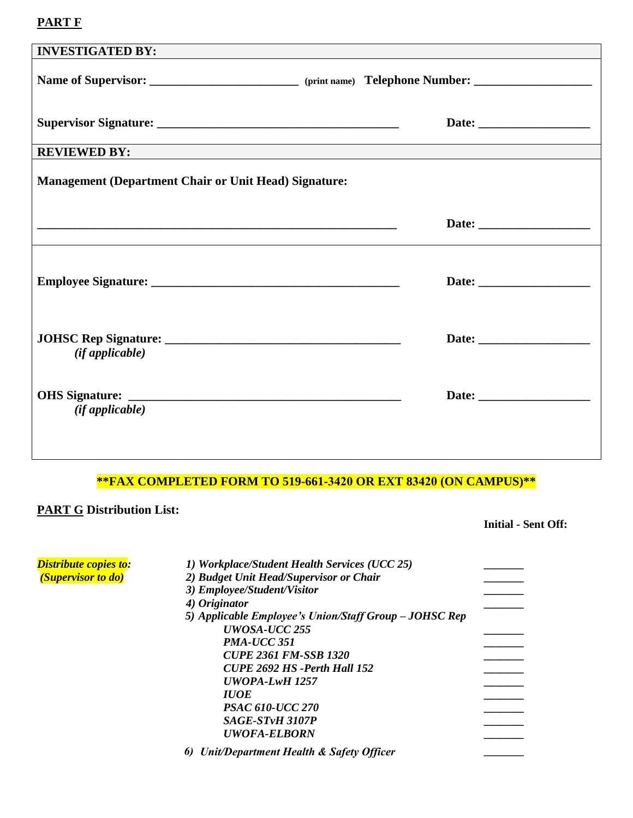### **PART F**

| <b>INVESTIGATED BY:</b>                                      |                                                                                                                |
|--------------------------------------------------------------|----------------------------------------------------------------------------------------------------------------|
|                                                              | Name of Supervisor: _____________________________ (print name) Telephone Number: _____________________________ |
|                                                              |                                                                                                                |
| <b>REVIEWED BY:</b>                                          |                                                                                                                |
| <b>Management (Department Chair or Unit Head) Signature:</b> |                                                                                                                |
|                                                              |                                                                                                                |
|                                                              |                                                                                                                |
| $(if$ applicable $)$                                         |                                                                                                                |
| (ifappliedble)                                               |                                                                                                                |
|                                                              |                                                                                                                |

#### **\*\*FAX COMPLETED FORM TO 519-661-3420 OR EXT 83420 (ON CAMPUS)\*\***

### **PART G Distribution List:**

#### **Initial - Sent Off:**

| Distribute copies to:     | 1) Workplace/Student Health Services (UCC 25)          |  |
|---------------------------|--------------------------------------------------------|--|
| <i>(Supervisor to do)</i> | 2) Budget Unit Head/Supervisor or Chair                |  |
|                           | 3) Employee/Student/Visitor                            |  |
|                           | 4) Originator                                          |  |
|                           | 5) Applicable Employee's Union/Staff Group – JOHSC Rep |  |
|                           | UWOSA-UCC 255                                          |  |
|                           | PMA-UCC 351                                            |  |
|                           | <b>CUPE 2361 FM-SSB 1320</b>                           |  |
|                           | CUPE 2692 HS -Perth Hall 152                           |  |
|                           | $UWOPA-LwH$ 1257                                       |  |
|                           | <b>IUOE</b>                                            |  |
|                           | <b>PSAC 610-UCC 270</b>                                |  |
|                           | SAGE-STvH 3107P                                        |  |
|                           | <b>UWOFA-ELBORN</b>                                    |  |
|                           |                                                        |  |
|                           | Unit/Department Health & Safety Officer<br>6)          |  |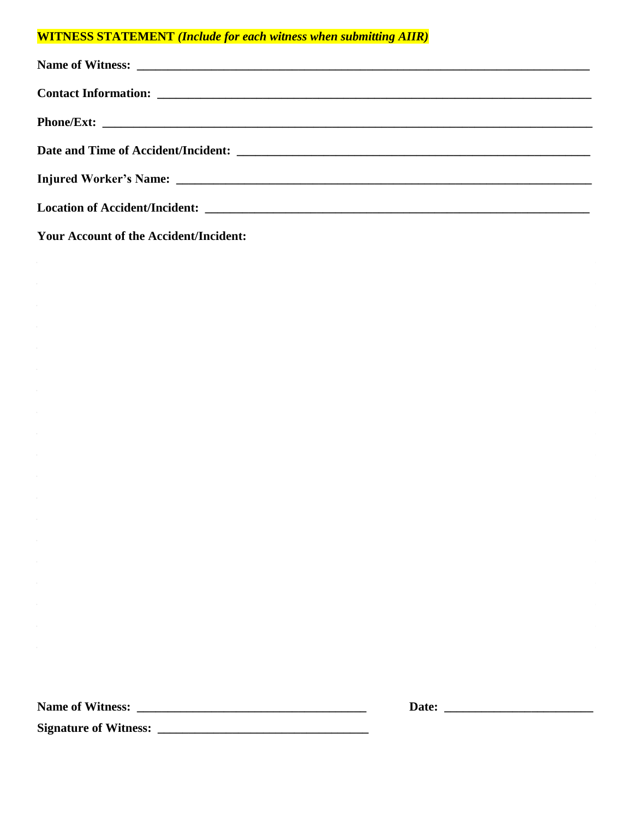### **WITNESS STATEMENT** (Include for each witness when submitting AIIR)

**Your Account of the Accident/Incident:** 

| Date: |  |  |  |
|-------|--|--|--|
|       |  |  |  |